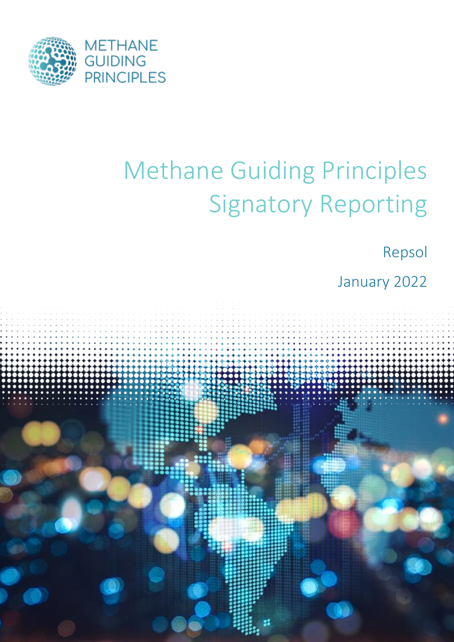

# Methane Guiding Principles Signatory Reporting

Repsol

January 2022

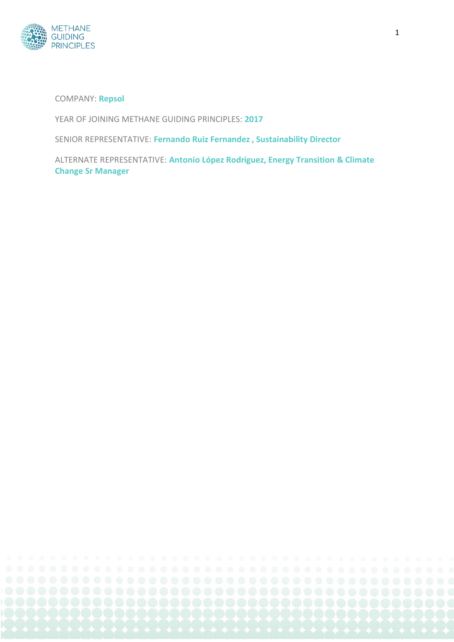

COMPANY: **Repsol**

YEAR OF JOINING METHANE GUIDING PRINCIPLES: **2017**

SENIOR REPRESENTATIVE: **Fernando Ruiz Fernandez , Sustainability Director**

ALTERNATE REPRESENTATIVE: **Antonio López Rodríguez, Energy Transition & Climate Change Sr Manager**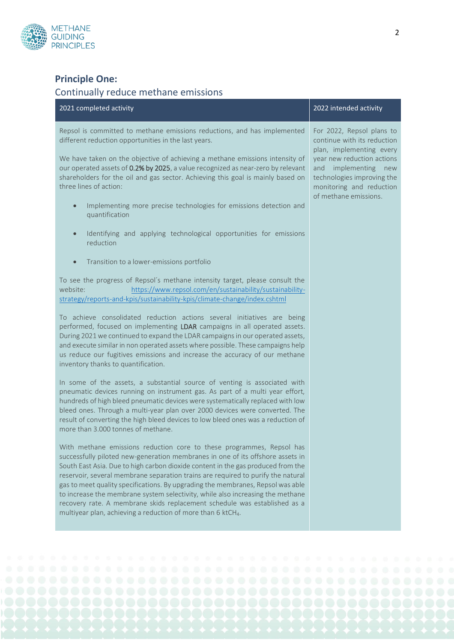

## **Principle One:**

### Continually reduce methane emissions

| 2021 completed activity                                                                                                                                                                                                                                                                                                                                                                                                                                                                                                                                                                                                                                       | 2022 intended activity                                                                                                                                                                                                           |
|---------------------------------------------------------------------------------------------------------------------------------------------------------------------------------------------------------------------------------------------------------------------------------------------------------------------------------------------------------------------------------------------------------------------------------------------------------------------------------------------------------------------------------------------------------------------------------------------------------------------------------------------------------------|----------------------------------------------------------------------------------------------------------------------------------------------------------------------------------------------------------------------------------|
| Repsol is committed to methane emissions reductions, and has implemented<br>different reduction opportunities in the last years.<br>We have taken on the objective of achieving a methane emissions intensity of<br>our operated assets of 0.2% by 2025, a value recognized as near-zero by relevant<br>shareholders for the oil and gas sector. Achieving this goal is mainly based on<br>three lines of action:<br>Implementing more precise technologies for emissions detection and<br>$\bullet$<br>quantification                                                                                                                                        | For 2022, Repsol plans to<br>continue with its reduction<br>plan, implementing every<br>year new reduction actions<br>implementing new<br>and<br>technologies improving the<br>monitoring and reduction<br>of methane emissions. |
| Identifying and applying technological opportunities for emissions<br>$\bullet$<br>reduction                                                                                                                                                                                                                                                                                                                                                                                                                                                                                                                                                                  |                                                                                                                                                                                                                                  |
| Transition to a lower-emissions portfolio<br>$\qquad \qquad \bullet$                                                                                                                                                                                                                                                                                                                                                                                                                                                                                                                                                                                          |                                                                                                                                                                                                                                  |
| To see the progress of Repsol's methane intensity target, please consult the<br>website:<br>https://www.repsol.com/en/sustainability/sustainability-<br>strategy/reports-and-kpis/sustainability-kpis/climate-change/index.cshtml                                                                                                                                                                                                                                                                                                                                                                                                                             |                                                                                                                                                                                                                                  |
| To achieve consolidated reduction actions several initiatives are being<br>performed, focused on implementing LDAR campaigns in all operated assets.<br>During 2021 we continued to expand the LDAR campaigns in our operated assets,<br>and execute similar in non operated assets where possible. These campaigns help<br>us reduce our fugitives emissions and increase the accuracy of our methane<br>inventory thanks to quantification.                                                                                                                                                                                                                 |                                                                                                                                                                                                                                  |
| In some of the assets, a substantial source of venting is associated with<br>pneumatic devices running on instrument gas. As part of a multi year effort,<br>hundreds of high bleed pneumatic devices were systematically replaced with low<br>bleed ones. Through a multi-year plan over 2000 devices were converted. The<br>result of converting the high bleed devices to low bleed ones was a reduction of<br>more than 3.000 tonnes of methane.                                                                                                                                                                                                          |                                                                                                                                                                                                                                  |
| With methane emissions reduction core to these programmes, Repsol has<br>successfully piloted new-generation membranes in one of its offshore assets in<br>South East Asia. Due to high carbon dioxide content in the gas produced from the<br>reservoir, several membrane separation trains are required to purify the natural<br>gas to meet quality specifications. By upgrading the membranes, Repsol was able<br>to increase the membrane system selectivity, while also increasing the methane<br>recovery rate. A membrane skids replacement schedule was established as a<br>multiyear plan, achieving a reduction of more than 6 ktCH <sub>4</sub> . |                                                                                                                                                                                                                                  |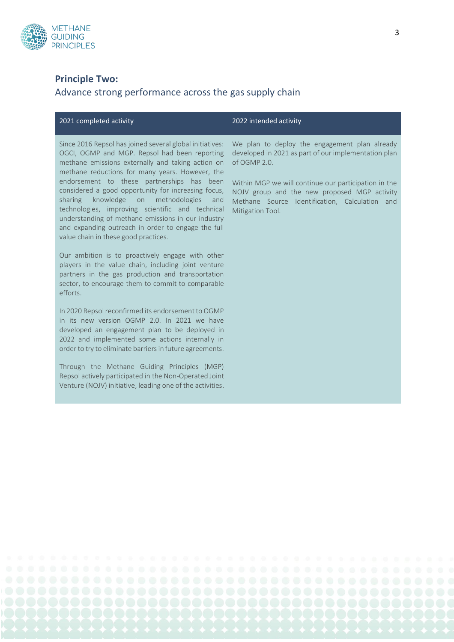

## **Principle Two:**

## Advance strong performance across the gas supply chain

| Since 2016 Repsol has joined several global initiatives:<br>OGCI, OGMP and MGP. Repsol had been reporting<br>methane emissions externally and taking action on<br>of OGMP 2.0.<br>methane reductions for many years. However, the<br>endorsement to these partnerships has been<br>considered a good opportunity for increasing focus,<br>knowledge on methodologies<br>sharing<br>and<br>technologies, improving scientific and technical<br>Mitigation Tool.<br>understanding of methane emissions in our industry<br>and expanding outreach in order to engage the full<br>value chain in these good practices.<br>Our ambition is to proactively engage with other<br>players in the value chain, including joint venture<br>partners in the gas production and transportation<br>sector, to encourage them to commit to comparable<br>efforts.<br>In 2020 Repsol reconfirmed its endorsement to OGMP<br>in its new version OGMP 2.0. In 2021 we have<br>developed an engagement plan to be deployed in<br>2022 and implemented some actions internally in<br>order to try to eliminate barriers in future agreements.<br>Through the Methane Guiding Principles (MGP) | 2021 completed activity                                | 2022 intended activity                                                                                                                                                                                                                                          |
|----------------------------------------------------------------------------------------------------------------------------------------------------------------------------------------------------------------------------------------------------------------------------------------------------------------------------------------------------------------------------------------------------------------------------------------------------------------------------------------------------------------------------------------------------------------------------------------------------------------------------------------------------------------------------------------------------------------------------------------------------------------------------------------------------------------------------------------------------------------------------------------------------------------------------------------------------------------------------------------------------------------------------------------------------------------------------------------------------------------------------------------------------------------------------|--------------------------------------------------------|-----------------------------------------------------------------------------------------------------------------------------------------------------------------------------------------------------------------------------------------------------------------|
|                                                                                                                                                                                                                                                                                                                                                                                                                                                                                                                                                                                                                                                                                                                                                                                                                                                                                                                                                                                                                                                                                                                                                                            |                                                        | We plan to deploy the engagement plan already<br>developed in 2021 as part of our implementation plan<br>Within MGP we will continue our participation in the<br>NOJV group and the new proposed MGP activity<br>Methane Source Identification, Calculation and |
|                                                                                                                                                                                                                                                                                                                                                                                                                                                                                                                                                                                                                                                                                                                                                                                                                                                                                                                                                                                                                                                                                                                                                                            |                                                        |                                                                                                                                                                                                                                                                 |
| Venture (NOJV) initiative, leading one of the activities.                                                                                                                                                                                                                                                                                                                                                                                                                                                                                                                                                                                                                                                                                                                                                                                                                                                                                                                                                                                                                                                                                                                  | Repsol actively participated in the Non-Operated Joint |                                                                                                                                                                                                                                                                 |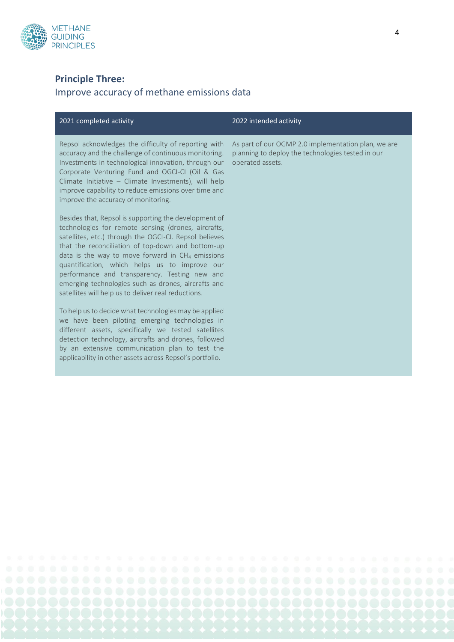

### **Principle Three:**

### Improve accuracy of methane emissions data

| 2021 completed activity                                                                                                                                                                                                                                                                                                                                                                                                                                                                           | 2022 intended activity                                                                                                       |
|---------------------------------------------------------------------------------------------------------------------------------------------------------------------------------------------------------------------------------------------------------------------------------------------------------------------------------------------------------------------------------------------------------------------------------------------------------------------------------------------------|------------------------------------------------------------------------------------------------------------------------------|
| Repsol acknowledges the difficulty of reporting with<br>accuracy and the challenge of continuous monitoring.<br>Investments in technological innovation, through our<br>Corporate Venturing Fund and OGCI-CI (Oil & Gas<br>Climate Initiative - Climate Investments), will help<br>improve capability to reduce emissions over time and<br>improve the accuracy of monitoring.                                                                                                                    | As part of our OGMP 2.0 implementation plan, we are<br>planning to deploy the technologies tested in our<br>operated assets. |
| Besides that, Repsol is supporting the development of<br>technologies for remote sensing (drones, aircrafts,<br>satellites, etc.) through the OGCI-CI. Repsol believes<br>that the reconciliation of top-down and bottom-up<br>data is the way to move forward in $CH4$ emissions<br>quantification, which helps us to improve our<br>performance and transparency. Testing new and<br>emerging technologies such as drones, aircrafts and<br>satellites will help us to deliver real reductions. |                                                                                                                              |
| To help us to decide what technologies may be applied<br>we have been piloting emerging technologies in<br>different assets, specifically we tested satellites<br>detection technology, aircrafts and drones, followed<br>by an extensive communication plan to test the<br>applicability in other assets across Repsol's portfolio.                                                                                                                                                              |                                                                                                                              |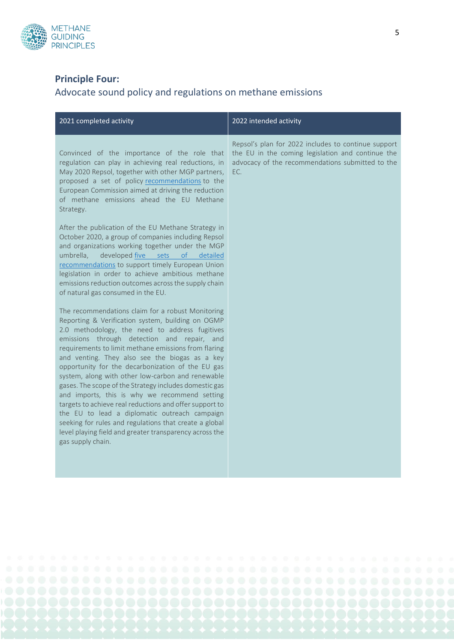

## **Principle Four:**

# Advocate sound policy and regulations on methane emissions

| 2021 completed activity                                                                                                                                                                                                                                                                                                                                                                                                                                                                                                                                                                                                                                                                                                                                                                      | 2022 intended activity                                                                                                                                              |
|----------------------------------------------------------------------------------------------------------------------------------------------------------------------------------------------------------------------------------------------------------------------------------------------------------------------------------------------------------------------------------------------------------------------------------------------------------------------------------------------------------------------------------------------------------------------------------------------------------------------------------------------------------------------------------------------------------------------------------------------------------------------------------------------|---------------------------------------------------------------------------------------------------------------------------------------------------------------------|
| Convinced of the importance of the role that<br>regulation can play in achieving real reductions, in<br>May 2020 Repsol, together with other MGP partners,<br>proposed a set of policy recommendations to the<br>European Commission aimed at driving the reduction<br>of methane emissions ahead the EU Methane<br>Strategy.                                                                                                                                                                                                                                                                                                                                                                                                                                                                | Repsol's plan for 2022 includes to continue support<br>the EU in the coming legislation and continue the<br>advocacy of the recommendations submitted to the<br>EC. |
| After the publication of the EU Methane Strategy in<br>October 2020, a group of companies including Repsol<br>and organizations working together under the MGP<br>umbrella.<br>developed five sets<br><sub>of</sub><br>detailed<br>recommendations to support timely European Union<br>legislation in order to achieve ambitious methane<br>emissions reduction outcomes across the supply chain<br>of natural gas consumed in the EU.                                                                                                                                                                                                                                                                                                                                                       |                                                                                                                                                                     |
| The recommendations claim for a robust Monitoring<br>Reporting & Verification system, building on OGMP<br>2.0 methodology, the need to address fugitives<br>emissions through detection and repair, and<br>requirements to limit methane emissions from flaring<br>and venting. They also see the biogas as a key<br>opportunity for the decarbonization of the EU gas<br>system, along with other low-carbon and renewable<br>gases. The scope of the Strategy includes domestic gas<br>and imports, this is why we recommend setting<br>targets to achieve real reductions and offer support to<br>the EU to lead a diplomatic outreach campaign<br>seeking for rules and regulations that create a global<br>level playing field and greater transparency across the<br>gas supply chain. |                                                                                                                                                                     |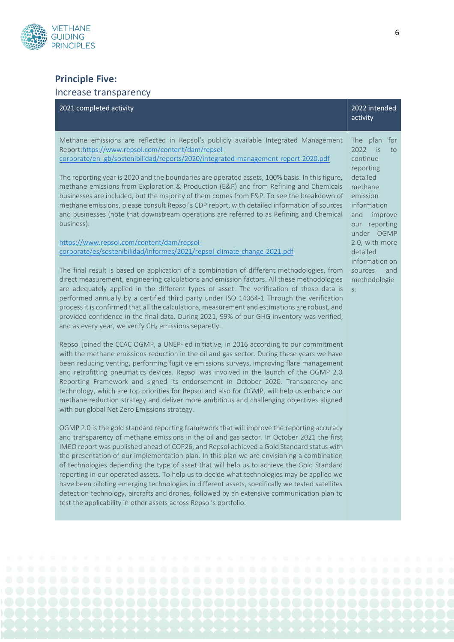

## **Principle Five:**

#### Increase transparency

| 2021 completed activity                                                                                                                                                                                                                                                                                                                                                                                                                                                                                                                                                                                                                                                                                                                                                                                                                               | 2022 intended<br>activity                                                         |
|-------------------------------------------------------------------------------------------------------------------------------------------------------------------------------------------------------------------------------------------------------------------------------------------------------------------------------------------------------------------------------------------------------------------------------------------------------------------------------------------------------------------------------------------------------------------------------------------------------------------------------------------------------------------------------------------------------------------------------------------------------------------------------------------------------------------------------------------------------|-----------------------------------------------------------------------------------|
| Methane emissions are reflected in Repsol's publicly available Integrated Management<br>Report:https://www.repsol.com/content/dam/repsol-<br>corporate/en_gb/sostenibilidad/reports/2020/integrated-management-report-2020.pdf                                                                                                                                                                                                                                                                                                                                                                                                                                                                                                                                                                                                                        | The plan for<br>2022 is<br>to<br>continue<br>reporting                            |
| The reporting year is 2020 and the boundaries are operated assets, 100% basis. In this figure,<br>methane emissions from Exploration & Production (E&P) and from Refining and Chemicals<br>businesses are included, but the majority of them comes from E&P. To see the breakdown of<br>methane emissions, please consult Repsol's CDP report, with detailed information of sources<br>and businesses (note that downstream operations are referred to as Refining and Chemical<br>business):                                                                                                                                                                                                                                                                                                                                                         | detailed<br>methane<br>emission<br>information<br>and<br>improve<br>our reporting |
| https://www.repsol.com/content/dam/repsol-<br>corporate/es/sostenibilidad/informes/2021/repsol-climate-change-2021.pdf                                                                                                                                                                                                                                                                                                                                                                                                                                                                                                                                                                                                                                                                                                                                | under OGMP<br>2.0, with more<br>detailed                                          |
| The final result is based on application of a combination of different methodologies, from<br>direct measurement, engineering calculations and emission factors. All these methodologies<br>are adequately applied in the different types of asset. The verification of these data is<br>performed annually by a certified third party under ISO 14064-1 Through the verification<br>process it is confirmed that all the calculations, measurement and estimations are robust, and<br>provided confidence in the final data. During 2021, 99% of our GHG inventory was verified,<br>and as every year, we verify CH <sub>4</sub> emissions separetly.                                                                                                                                                                                                | information on<br>sources<br>and<br>methodologie<br>S.                            |
| Repsol joined the CCAC OGMP, a UNEP-led initiative, in 2016 according to our commitment<br>with the methane emissions reduction in the oil and gas sector. During these years we have<br>been reducing venting, performing fugitive emissions surveys, improving flare management<br>and retrofitting pneumatics devices. Repsol was involved in the launch of the OGMP 2.0<br>Reporting Framework and signed its endorsement in October 2020. Transparency and<br>technology, which are top priorities for Repsol and also for OGMP, will help us enhance our<br>methane reduction strategy and deliver more ambitious and challenging objectives aligned<br>with our global Net Zero Emissions strategy.                                                                                                                                            |                                                                                   |
| OGMP 2.0 is the gold standard reporting framework that will improve the reporting accuracy<br>and transparency of methane emissions in the oil and gas sector. In October 2021 the first<br>IMEO report was published ahead of COP26, and Repsol achieved a Gold Standard status with<br>the presentation of our implementation plan. In this plan we are envisioning a combination<br>of technologies depending the type of asset that will help us to achieve the Gold Standard<br>reporting in our operated assets. To help us to decide what technologies may be applied we<br>have been piloting emerging technologies in different assets, specifically we tested satellites<br>detection technology, aircrafts and drones, followed by an extensive communication plan to<br>test the applicability in other assets across Repsol's portfolio. |                                                                                   |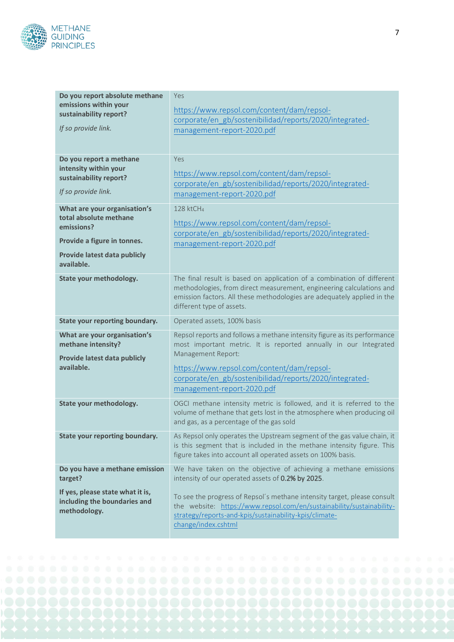

| Do you report absolute methane<br>emissions within your<br>sustainability report?<br>If so provide link.                                          | Yes<br>https://www.repsol.com/content/dam/repsol-<br>corporate/en gb/sostenibilidad/reports/2020/integrated-<br>management-report-2020.pdf                                                                                                                                                                |
|---------------------------------------------------------------------------------------------------------------------------------------------------|-----------------------------------------------------------------------------------------------------------------------------------------------------------------------------------------------------------------------------------------------------------------------------------------------------------|
| Do you report a methane<br>intensity within your<br>sustainability report?<br>If so provide link.                                                 | Yes<br>https://www.repsol.com/content/dam/repsol-<br>corporate/en gb/sostenibilidad/reports/2020/integrated-<br>management-report-2020.pdf                                                                                                                                                                |
| What are your organisation's<br>total absolute methane<br>emissions?<br>Provide a figure in tonnes.<br>Provide latest data publicly<br>available. | 128 ktCH <sub>4</sub><br>https://www.repsol.com/content/dam/repsol-<br>corporate/en_gb/sostenibilidad/reports/2020/integrated-<br>management-report-2020.pdf                                                                                                                                              |
| State your methodology.                                                                                                                           | The final result is based on application of a combination of different<br>methodologies, from direct measurement, engineering calculations and<br>emission factors. All these methodologies are adequately applied in the<br>different type of assets.                                                    |
| <b>State your reporting boundary.</b>                                                                                                             | Operated assets, 100% basis                                                                                                                                                                                                                                                                               |
| What are your organisation's<br>methane intensity?<br>Provide latest data publicly<br>available.                                                  | Repsol reports and follows a methane intensity figure as its performance<br>most important metric. It is reported annually in our Integrated<br>Management Report:<br>https://www.repsol.com/content/dam/repsol-<br>corporate/en gb/sostenibilidad/reports/2020/integrated-<br>management-report-2020.pdf |
| State your methodology.                                                                                                                           | OGCI methane intensity metric is followed, and it is referred to the<br>volume of methane that gets lost in the atmosphere when producing oil<br>and gas, as a percentage of the gas sold                                                                                                                 |
| State your reporting boundary.                                                                                                                    | As Repsol only operates the Upstream segment of the gas value chain, it<br>is this segment that is included in the methane intensity figure. This<br>figure takes into account all operated assets on 100% basis.                                                                                         |
| Do you have a methane emission<br>target?<br>If yes, please state what it is,                                                                     | We have taken on the objective of achieving a methane emissions<br>intensity of our operated assets of 0.2% by 2025.<br>To see the progress of Repsol's methane intensity target, please consult                                                                                                          |
| including the boundaries and<br>methodology.                                                                                                      | the website: https://www.repsol.com/en/sustainability/sustainability-<br>strategy/reports-and-kpis/sustainability-kpis/climate-<br>change/index.cshtml                                                                                                                                                    |